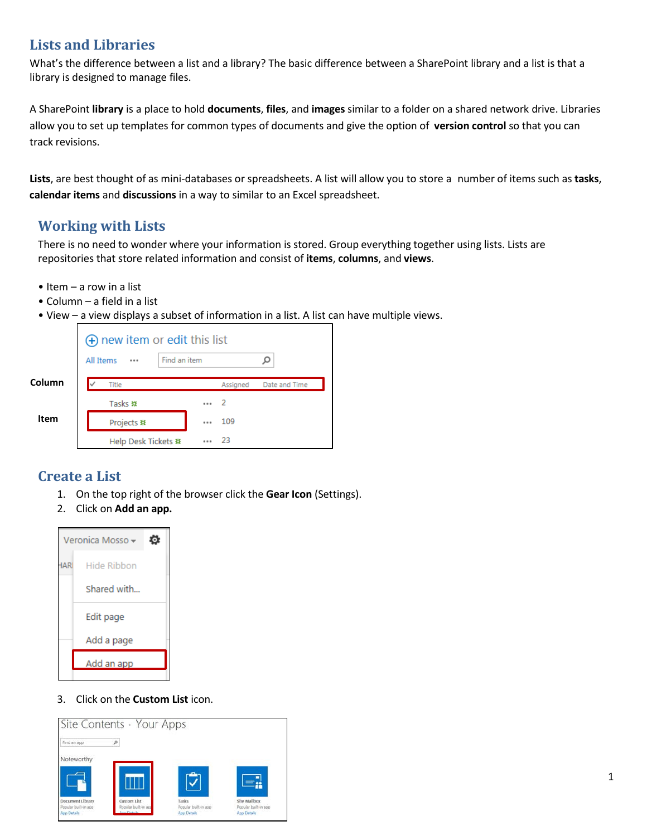# **Lists and Libraries**

What's the difference between a list and a library? The basic difference between a SharePoint library and a list is that a library is designed to manage files.

A SharePoint **library** is a place to hold **documents**, **files**, and **images** similar to a folder on a shared network drive. Libraries allow you to set up templates for common types of documents and give the option of **version control** so that you can track revisions.

**Lists**, are best thought of as mini-databases or spreadsheets. A list will allow you to store a number of items such as **tasks**, **calendar items** and **discussions** in a way to similar to an Excel spreadsheet.

## **Working with Lists**

There is no need to wonder where your information is stored. Group everything together using lists. Lists are repositories that store related information and consist of **items**, **columns**, and **views**.

- Item a row in a list
- Column a field in a list
- View a view displays a subset of information in a list. A list can have multiple views.

|        | $\Theta$ new item or edit this list |              |          |               |
|--------|-------------------------------------|--------------|----------|---------------|
|        | <b>All Items</b><br>                | Find an item |          |               |
| Column | Title                               |              | Assigned | Date and Time |
|        | Tasks #                             |              | - 2      |               |
| Item   | Projects #                          | 0.0.0        | 109      |               |
|        | Help Desk Tickets #                 | $-0.06$      | -23      |               |

## **Create a List**

- 1. On the top right of the browser click the **Gear Icon** (Settings).
- 2. Click on **Add an app.**



3. Click on the **Custom List** icon.

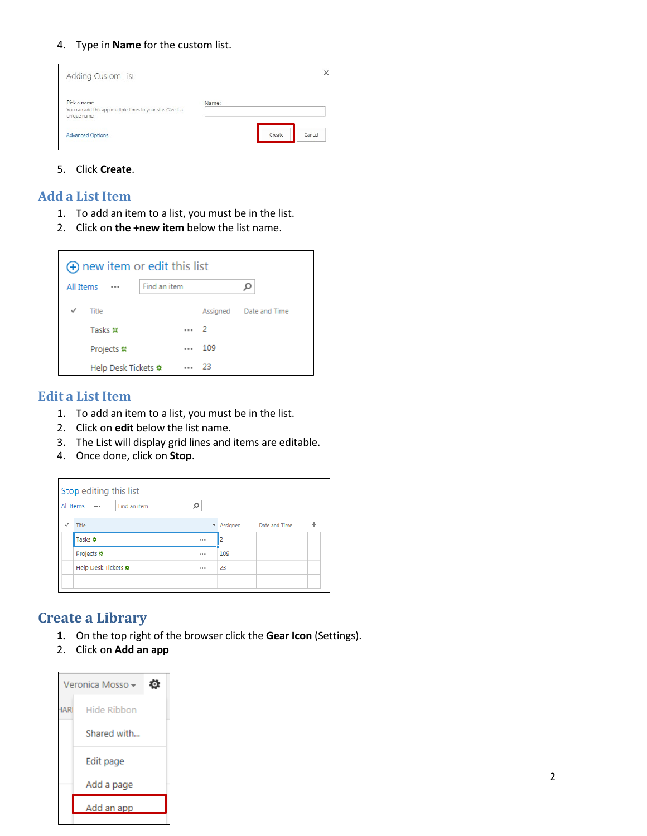4. Type in **Name** for the custom list.

| <b>Adding Custom List</b>                                                                  |       |        |        |
|--------------------------------------------------------------------------------------------|-------|--------|--------|
| Pick a name<br>You can add this app multiple times to your site. Give it a<br>unique name. | Name: |        |        |
| <b>Advanced Options</b>                                                                    |       | Create | Cancel |

5. Click **Create**.

### **Add a List Item**

- 1. To add an item to a list, you must be in the list.
- 2. Click on **the +new item** below the list name.

| $\Theta$ new item or edit this list |              |            |     |                        |
|-------------------------------------|--------------|------------|-----|------------------------|
| All Items                           | Find an item |            |     |                        |
| ✓<br>Title                          |              |            |     | Assigned Date and Time |
| Tasks #                             |              | $\cdots$ 2 |     |                        |
| Projects #                          |              | 0.0.0      | 109 |                        |
| Help Desk Tickets #                 |              | $-0.06$    | -23 |                        |

## **Edit a List Item**

- 1. To add an item to a list, you must be in the list.
- 2. Click on **edit** below the list name.
- 3. The List will display grid lines and items are editable.
- 4. Once done, click on **Stop**.

|              | All Items           | Find an item |         |                        |   |
|--------------|---------------------|--------------|---------|------------------------|---|
| $\checkmark$ | Title               |              |         | Assigned Date and Time | ÷ |
|              | Tasks ※             |              | <br>2   |                        |   |
|              | Projects #          |              | <br>109 |                        |   |
|              | Help Desk Tickets ※ |              | <br>23  |                        |   |

## **Create a Library**

- **1.** On the top right of the browser click the **Gear Icon** (Settings).
- 2. Click on **Add an app**

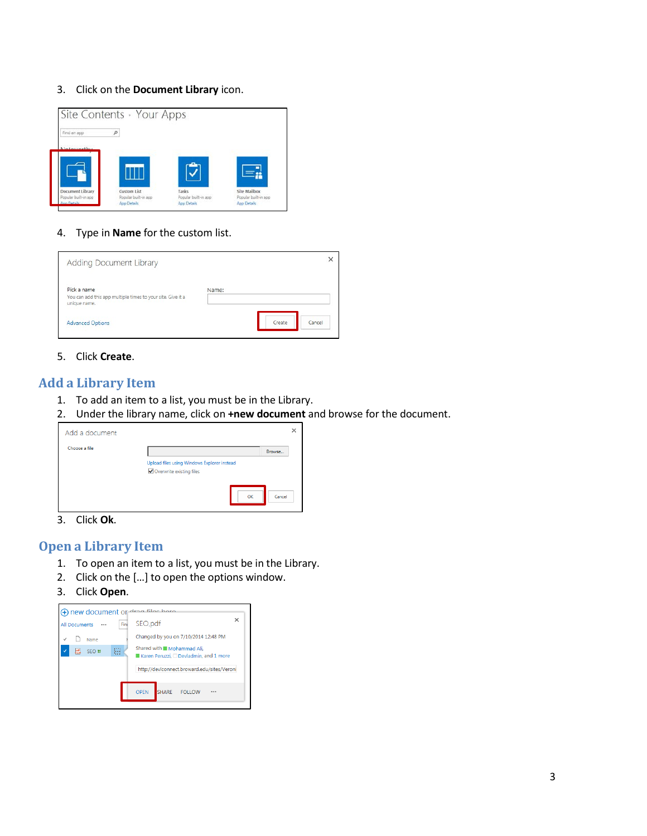#### 3. Click on the **Document Library** icon.



4. Type in **Name** for the custom list.

| Adding Document Library                                                                    |        |        |
|--------------------------------------------------------------------------------------------|--------|--------|
| Pick a name<br>You can add this app multiple times to your site. Give it a<br>unique name. | Name:  |        |
| <b>Advanced Options</b>                                                                    | Create | Cancel |

5. Click **Create**.

## **Add a Library Item**

- 1. To add an item to a list, you must be in the Library.
- 2. Under the library name, click on **+new document** and browse for the document.

| Add a document |                                                                         |        |
|----------------|-------------------------------------------------------------------------|--------|
| Choose a file  |                                                                         | Browse |
|                | Upload files using Windows Explorer instead<br>Overwrite existing files |        |
|                | OK                                                                      | Cancel |

3. Click **Ok**.

## **Open a Library Item**

- 1. To open an item to a list, you must be in the Library.
- 2. Click on the […] to open the options window.
- 3. Click **Open**.